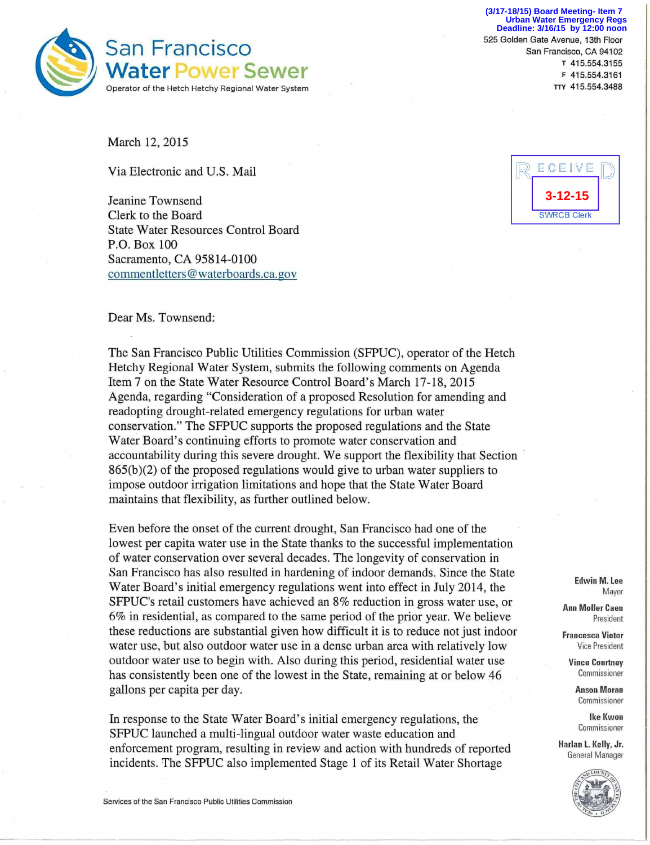

**I— •** 525 Golden Gate Avenue, 13th Floor **(3/17-18/15) Board Meeting- Item 7 Urban Water Emergency Regs Deadline: 3/16/15 by 12:00 noon**

March 12, 2015

Via Electronic and U.S. Mail

Jeanine Townsend Clerk to the Board State Water Resources Control Board P.O. Box 100 Sacramento, CA 95814-0100 commentletters@waterboards.ca.gov



Dear Ms. Townsend:

The San Francisco Public Utilities Commission (SFPUC), operator of the Hetch Hetchy Regional Water System, submits the following comments on Agenda Item 7 on the State Water Resource Control Board's March 17-18, 2015 Agenda, regarding "Consideration of a proposed Resolution for amending and readopting drought-related emergency regulations for urban water conservation." The SFPUC supports the proposed regulations and the State Water Board's continuing efforts to promote water conservation and accountability during this severe drought. We support the flexibility that Section  $865(b)(2)$  of the proposed regulations would give to urban water suppliers to impose outdoor irrigation limitations and hope that the State Water Board maintains that flexibility, as further outlined below.

Even before the onset of the current drought, San Francisco had one of the lowest per capita water use in the State thanks to the successful implementation of water conservation over several decades. The longevity of conservation in San Francisco has also resulted in hardening of indoor demands. Since the State Water Board's initial emergency regulations went into effect in July 2014, the SFPUC's retail customers have achieved an 8% reduction in gross water use, or 6% in residential, as compared to the same period of the prior year. We believe these reductions are substantial given how difficult it is to reduce not just indoor water use, but also outdoor water use in a dense urban area with relatively low outdoor water use to begin with. Also during this period, residential water use has consistently been one of the lowest in the State, remaining at or below 46 gallons per capita per day.

In response to the State Water Board's initial emergency regulations, the SFPUC launched a multi-lingual outdoor water waste education and enforcement program, resulting in review and action with hundreds of reported incidents. The SFPUC also implemented Stage 1 of its Retail Water Shortage

**Edwin M. Lee**  Mayor

**Ann Moller Caen**  President

**Francesca Vietor**  Vice President

**Vince Courtney**  Commissioner

> **Anson Moran**  Commissioner

> > **Ike Kwon**  Commissioner

**Harlan L. Kelly, Jr.**  General Manager